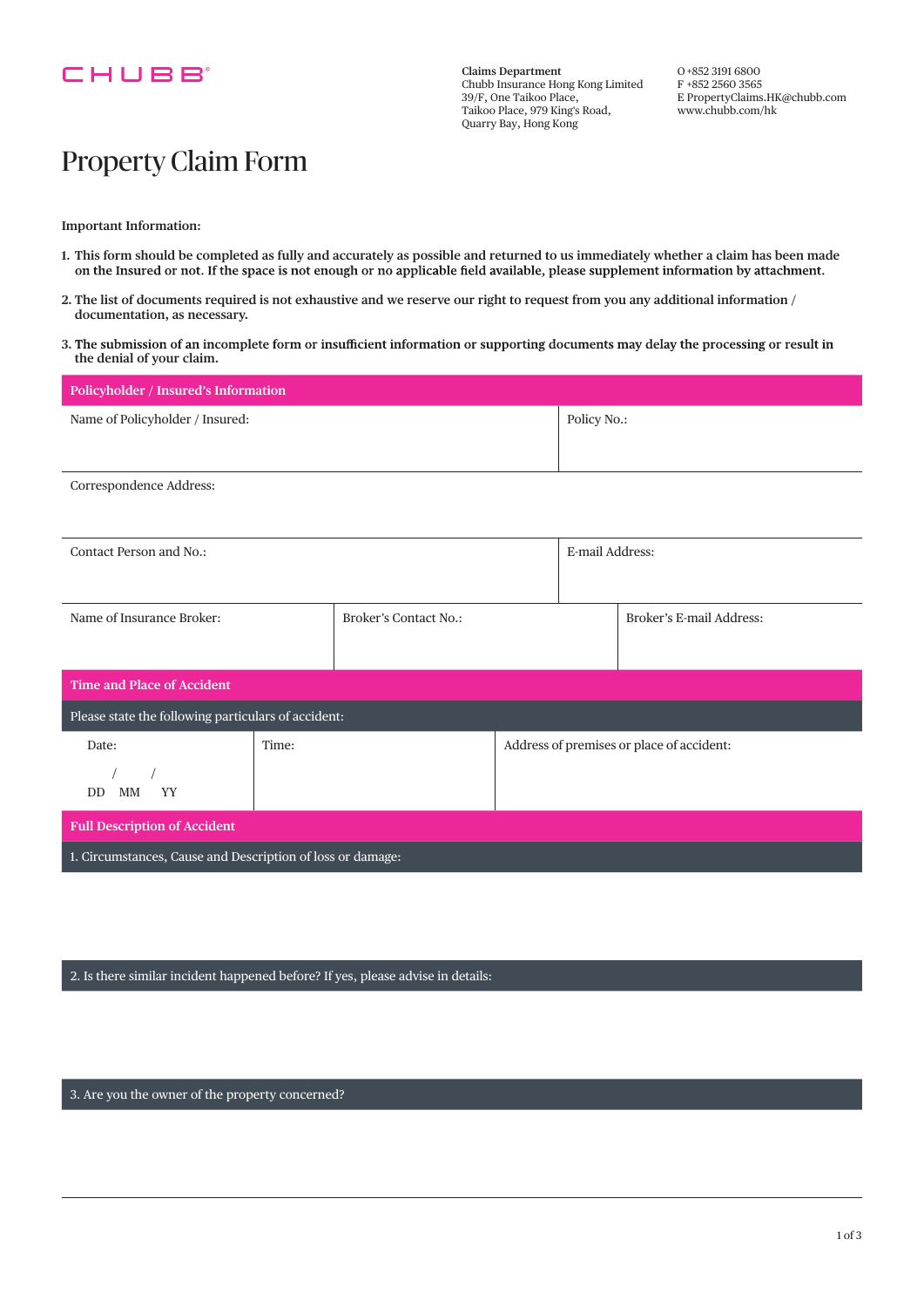

**Claims Department** Chubb Insurance Hong Kong Limited 39/F, One Taikoo Place, Taikoo Place, 979 King's Road, Quarry Bay, Hong Kong

O +852 3191 6800 F +852 2560 3565 E PropertyClaims.HK@chubb.com www.chubb.com/hk

## Property Claim Form

**Important Information:**

- **1. This form should be completed as fully and accurately as possible and returned to us immediately whether a claim has been made**
- **2. The list of documents required is not exhaustive and we reserve our right to request from you any additional information / documentation, as necessary.**
- 3. The submission of an incomplete form or insufficient information or supporting documents may delay the processing or result in **the denial of your claim.**

| Policyholder / Insured's Information                       |       |                       |                                           |                 |                          |  |
|------------------------------------------------------------|-------|-----------------------|-------------------------------------------|-----------------|--------------------------|--|
| Name of Policyholder / Insured:                            |       |                       | Policy No.:                               |                 |                          |  |
|                                                            |       |                       |                                           |                 |                          |  |
| Correspondence Address:                                    |       |                       |                                           |                 |                          |  |
|                                                            |       |                       |                                           |                 |                          |  |
| Contact Person and No.:                                    |       |                       |                                           | E-mail Address: |                          |  |
|                                                            |       |                       |                                           |                 |                          |  |
| Name of Insurance Broker:                                  |       | Broker's Contact No.: |                                           |                 | Broker's E-mail Address: |  |
|                                                            |       |                       |                                           |                 |                          |  |
| <b>Time and Place of Accident</b>                          |       |                       |                                           |                 |                          |  |
| Please state the following particulars of accident:        |       |                       |                                           |                 |                          |  |
| Date:                                                      | Time: |                       | Address of premises or place of accident: |                 |                          |  |
| YY<br>DD MM                                                |       |                       |                                           |                 |                          |  |
| <b>Full Description of Accident</b>                        |       |                       |                                           |                 |                          |  |
| 1. Circumstances, Cause and Description of loss or damage: |       |                       |                                           |                 |                          |  |

2. Is there similar incident happened before? If yes, please advise in details:

3. Are you the owner of the property concerned?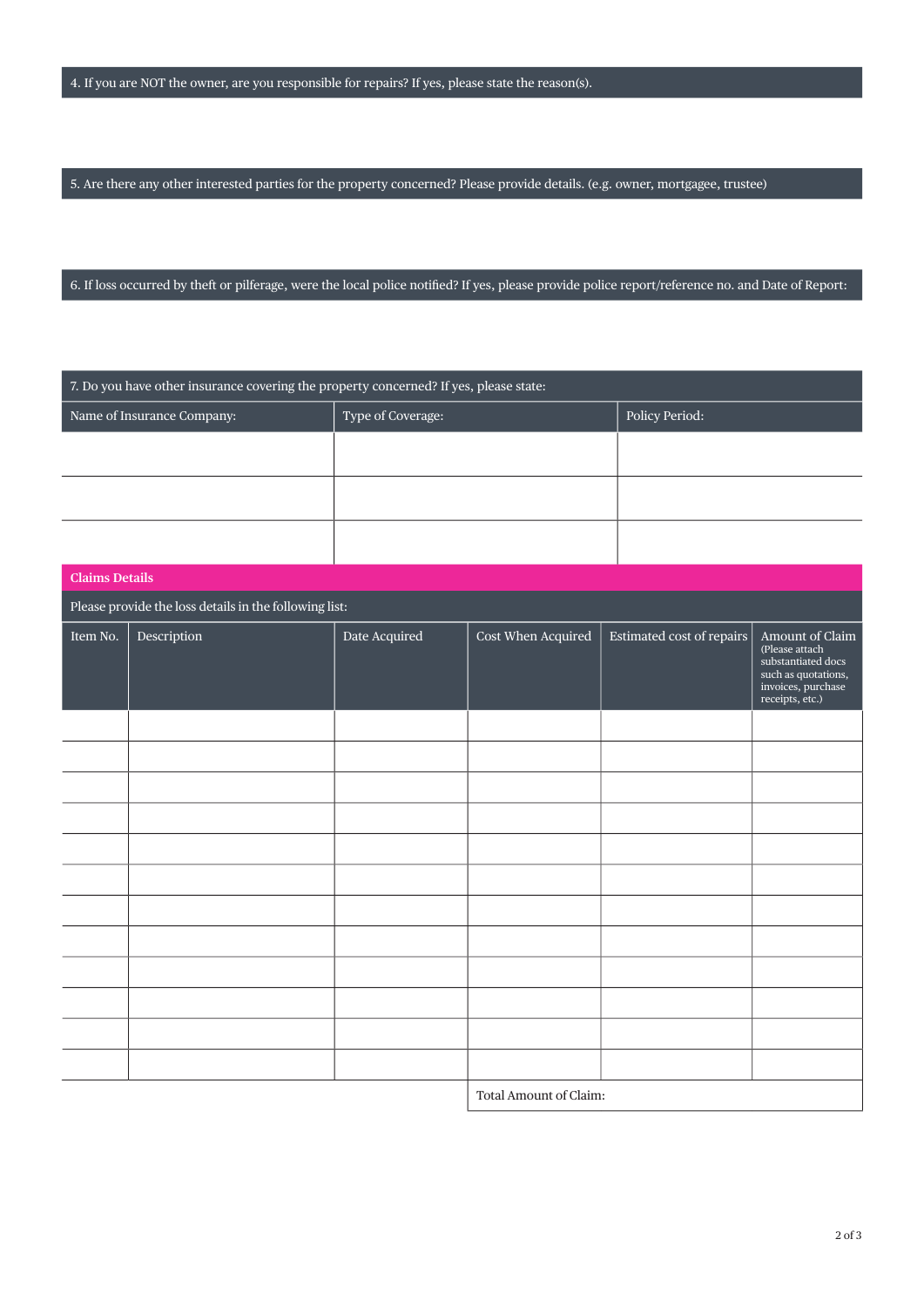5. Are there any other interested parties for the property concerned? Please provide details. (e.g. owner, mortgagee, trustee)

6. If loss occurred by theft or pilferage, were the local police notifed? If yes, please provide police report/reference no. and Date of Report:

| 7. Do you have other insurance covering the property concerned? If yes, please state: |                            |                   |                        |                           |                                                                                                                         |  |
|---------------------------------------------------------------------------------------|----------------------------|-------------------|------------------------|---------------------------|-------------------------------------------------------------------------------------------------------------------------|--|
|                                                                                       | Name of Insurance Company: | Type of Coverage: |                        | Policy Period:            |                                                                                                                         |  |
|                                                                                       |                            |                   |                        |                           |                                                                                                                         |  |
|                                                                                       |                            |                   |                        |                           |                                                                                                                         |  |
|                                                                                       |                            |                   |                        |                           |                                                                                                                         |  |
| <b>Claims Details</b>                                                                 |                            |                   |                        |                           |                                                                                                                         |  |
| Please provide the loss details in the following list:                                |                            |                   |                        |                           |                                                                                                                         |  |
| Item No.                                                                              | Description                | Date Acquired     | Cost When Acquired     | Estimated cost of repairs | Amount of Claim<br>(Please attach<br>substantiated docs<br>such as quotations,<br>invoices, purchase<br>receipts, etc.) |  |
|                                                                                       |                            |                   |                        |                           |                                                                                                                         |  |
|                                                                                       |                            |                   |                        |                           |                                                                                                                         |  |
|                                                                                       |                            |                   |                        |                           |                                                                                                                         |  |
|                                                                                       |                            |                   |                        |                           |                                                                                                                         |  |
|                                                                                       |                            |                   |                        |                           |                                                                                                                         |  |
|                                                                                       |                            |                   |                        |                           |                                                                                                                         |  |
|                                                                                       |                            |                   |                        |                           |                                                                                                                         |  |
|                                                                                       |                            |                   |                        |                           |                                                                                                                         |  |
|                                                                                       |                            |                   |                        |                           |                                                                                                                         |  |
|                                                                                       |                            |                   |                        |                           |                                                                                                                         |  |
|                                                                                       |                            |                   |                        |                           |                                                                                                                         |  |
|                                                                                       |                            |                   |                        |                           |                                                                                                                         |  |
|                                                                                       |                            |                   | Total Amount of Claim: |                           |                                                                                                                         |  |